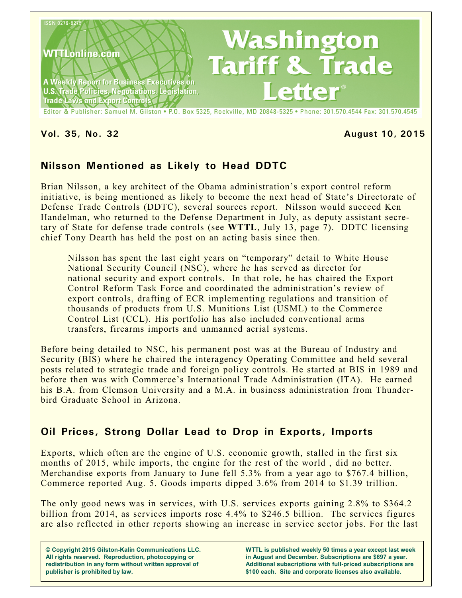

#### **Vol. 35, No. 32 August 10, 2015**

# **Nilsson Mentioned as Likely to Head DDTC**

Brian Nilsson, a key architect of the Obama administration's export control reform initiative, is being mentioned as likely to become the next head of State's Directorate of Defense Trade Controls (DDTC), several sources report. Nilsson would succeed Ken Handelman, who returned to the Defense Department in July, as deputy assistant secretary of State for defense trade controls (see **WTTL**, July 13, page 7). DDTC licensing chief Tony Dearth has held the post on an acting basis since then.

Nilsson has spent the last eight years on "temporary" detail to White House National Security Council (NSC), where he has served as director for national security and export controls. In that role, he has chaired the Export Control Reform Task Force and coordinated the administration's review of export controls, drafting of ECR implementing regulations and transition of thousands of products from U.S. Munitions List (USML) to the Commerce Control List (CCL). His portfolio has also included conventional arms transfers, firearms imports and unmanned aerial systems.

Before being detailed to NSC, his permanent post was at the Bureau of Industry and Security (BIS) where he chaired the interagency Operating Committee and held several posts related to strategic trade and foreign policy controls. He started at BIS in 1989 and before then was with Commerce's International Trade Administration (ITA). He earned his B.A. from Clemson University and a M.A. in business administration from Thunderbird Graduate School in Arizona.

# **Oil Prices, Strong Dollar Lead to Drop in Exports, Imports**

Exports, which often are the engine of U.S. economic growth, stalled in the first six months of 2015, while imports, the engine for the rest of the world , did no better. Merchandise exports from January to June fell 5.3% from a year ago to \$767.4 billion, Commerce reported Aug. 5. Goods imports dipped 3.6% from 2014 to \$1.39 trillion.

The only good news was in services, with U.S. services exports gaining 2.8% to \$364.2 billion from 2014, as services imports rose 4.4% to \$246.5 billion. The services figures are also reflected in other reports showing an increase in service sector jobs. For the last

**© Copyright 2015 Gilston-Kalin Communications LLC. All rights reserved. Reproduction, photocopying or redistribution in any form without written approval of publisher is prohibited by law.** 

**WTTL is published weekly 50 times a year except last week in August and December. Subscriptions are \$697 a year. Additional subscriptions with full-priced subscriptions are \$100 each. Site and corporate licenses also available.**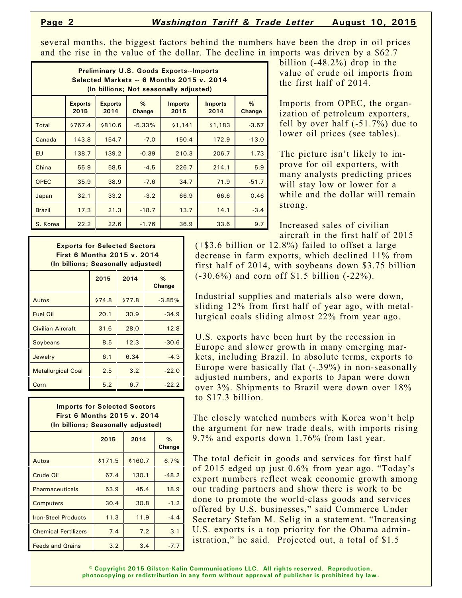several months, the biggest factors behind the numbers have been the drop in oil prices and the rise in the value of the dollar. The decline in imports was driven by a \$62.7

| <b>Preliminary U.S. Goods Exports--Imports</b><br>Selected Markets -- 6 Months 2015 v. 2014<br>(In billions; Not seasonally adjusted) |                        |                        |             |                        |                        |             |  |  |  |
|---------------------------------------------------------------------------------------------------------------------------------------|------------------------|------------------------|-------------|------------------------|------------------------|-------------|--|--|--|
|                                                                                                                                       | <b>Exports</b><br>2015 | <b>Exports</b><br>2014 | %<br>Change | <b>Imports</b><br>2015 | <b>Imports</b><br>2014 | %<br>Change |  |  |  |
| Total                                                                                                                                 | \$767.4                | \$810.6                | $-5.33%$    | \$1,141                | \$1,183                | $-3.57$     |  |  |  |
| Canada                                                                                                                                | 143.8                  | 154.7                  | $-7.0$      | 150.4                  | 172.9                  | $-13.0$     |  |  |  |
| <b>EU</b>                                                                                                                             | 138.7                  | 139.2                  | $-0.39$     | 210.3                  | 206.7                  | 1.73        |  |  |  |
| China                                                                                                                                 | 55.9                   | 58.5                   | $-4.5$      | 226.7                  | 214.1                  | 5.9         |  |  |  |
| <b>OPEC</b>                                                                                                                           | 35.9                   | 38.9                   | $-7.6$      | 34.7                   | 71.9                   | $-51.7$     |  |  |  |
| Japan                                                                                                                                 | 32.1                   | 33.2                   | $-3.2$      | 66.9                   | 66.6                   | 0.46        |  |  |  |
| <b>Brazil</b>                                                                                                                         | 17.3                   | 21.3                   | $-18.7$     | 13.7                   | 14.1                   | $-3.4$      |  |  |  |
| S. Korea                                                                                                                              | 22.2                   | 22.6                   | $-1.76$     | 36.9                   | 33.6                   | 9.7         |  |  |  |

billion (-48.2%) drop in the value of crude oil imports from the first half of 2014.

Imports from OPEC, the organization of petroleum exporters, fell by over half (-51.7%) due to lower oil prices (see tables).

The picture isn't likely to improve for oil exporters, with many analysts predicting prices will stay low or lower for a while and the dollar will remain strong.

Increased sales of civilian aircraft in the first half of 2015

**Exports for Selected Sectors First 6 Months 2015 v. 2014 (In billions; Seasonally adjusted)**

|                           | 2015   | 2014   | $\%$<br>Change |
|---------------------------|--------|--------|----------------|
| Autos                     | \$74.8 | \$77.8 | $-3.85%$       |
| <b>Fuel Oil</b>           | 20.1   | 30.9   | $-34.9$        |
| <b>Civilian Aircraft</b>  | 31.6   | 28.0   | 12.8           |
| Soybeans                  | 8.5    | 12.3   | $-30.6$        |
| Jewelry                   | 6.1    | 6.34   | $-4.3$         |
| <b>Metallurgical Coal</b> | 2.5    | 3.2    | $-22.0$        |
| Corn                      | 5.2    | 6.7    | $-22.2$        |
|                           |        |        |                |

**Imports for Selected Sectors**

| <b>First 6 Months 2015 v. 2014</b><br>(In billions; Seasonally adjusted) |         |         |             |  |  |  |  |
|--------------------------------------------------------------------------|---------|---------|-------------|--|--|--|--|
|                                                                          | 2015    | 2014    | %<br>Change |  |  |  |  |
| Autos                                                                    | \$171.5 | \$160.7 | 6.7%        |  |  |  |  |
| Crude Oil                                                                | 67.4    | 130.1   | $-48.2$     |  |  |  |  |
| Pharmaceuticals                                                          | 53.9    | 45.4    | 18.9        |  |  |  |  |
| <b>Computers</b>                                                         | 30.4    | 30.8    | $-1.2$      |  |  |  |  |
| <b>Iron-Steel Products</b>                                               | 11.3    | 11.9    | $-4.4$      |  |  |  |  |
| <b>Chemical Fertilizers</b>                                              | 7.4     | 7.2     | 3.1         |  |  |  |  |
| <b>Feeds and Grains</b>                                                  | 3.2     | 3.4     | $-7.7$      |  |  |  |  |
|                                                                          |         |         |             |  |  |  |  |

(+\$3.6 billion or 12.8%) failed to offset a large decrease in farm exports, which declined 11% from first half of 2014, with soybeans down \$3.75 billion (-30.6%) and corn off \$1.5 billion (-22%).

Industrial supplies and materials also were down, sliding 12% from first half of year ago, with metallurgical coals sliding almost 22% from year ago.

U.S. exports have been hurt by the recession in Europe and slower growth in many emerging markets, including Brazil. In absolute terms, exports to Europe were basically flat (-.39%) in non-seasonally adjusted numbers, and exports to Japan were down over 3%. Shipments to Brazil were down over 18% to \$17.3 billion.

The closely watched numbers with Korea won't help the argument for new trade deals, with imports rising 9.7% and exports down 1.76% from last year.

The total deficit in goods and services for first half of 2015 edged up just 0.6% from year ago. "Today's export numbers reflect weak economic growth among our trading partners and show there is work to be done to promote the world-class goods and services offered by U.S. businesses," said Commerce Under Secretary Stefan M. Selig in a statement. "Increasing U.S. exports is a top priority for the Obama administration," he said. Projected out, a total of \$1.5

**© Copyright 2015 Gilston-Kalin Communications LLC. All rights reserved. Reproduction, photocopying or redistribution in any form without approval of publisher is prohibited by law.**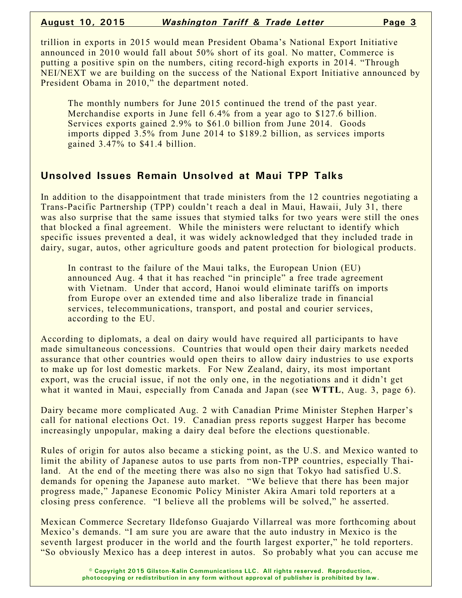trillion in exports in 2015 would mean President Obama's National Export Initiative announced in 2010 would fall about 50% short of its goal. No matter, Commerce is putting a positive spin on the numbers, citing record-high exports in 2014. "Through NEI/NEXT we are building on the success of the National Export Initiative announced by President Obama in 2010," the department noted.

The monthly numbers for June 2015 continued the trend of the past year. Merchandise exports in June fell 6.4% from a year ago to \$127.6 billion. Services exports gained 2.9% to \$61.0 billion from June 2014. Goods imports dipped 3.5% from June 2014 to \$189.2 billion, as services imports gained 3.47% to \$41.4 billion.

#### **Unsolved Issues Remain Unsolved at Maui TPP Talks**

In addition to the disappointment that trade ministers from the 12 countries negotiating a Trans-Pacific Partnership (TPP) couldn't reach a deal in Maui, Hawaii, July 31, there was also surprise that the same issues that stymied talks for two years were still the ones that blocked a final agreement. While the ministers were reluctant to identify which specific issues prevented a deal, it was widely acknowledged that they included trade in dairy, sugar, autos, other agriculture goods and patent protection for biological products.

In contrast to the failure of the Maui talks, the European Union (EU) announced Aug. 4 that it has reached "in principle" a free trade agreement with Vietnam. Under that accord, Hanoi would eliminate tariffs on imports from Europe over an extended time and also liberalize trade in financial services, telecommunications, transport, and postal and courier services, according to the EU.

According to diplomats, a deal on dairy would have required all participants to have made simultaneous concessions. Countries that would open their dairy markets needed assurance that other countries would open theirs to allow dairy industries to use exports to make up for lost domestic markets. For New Zealand, dairy, its most important export, was the crucial issue, if not the only one, in the negotiations and it didn't get what it wanted in Maui, especially from Canada and Japan (see **WTTL**, Aug. 3, page 6).

Dairy became more complicated Aug. 2 with Canadian Prime Minister Stephen Harper's call for national elections Oct. 19. Canadian press reports suggest Harper has become increasingly unpopular, making a dairy deal before the elections questionable.

Rules of origin for autos also became a sticking point, as the U.S. and Mexico wanted to limit the ability of Japanese autos to use parts from non-TPP countries, especially Thailand. At the end of the meeting there was also no sign that Tokyo had satisfied U.S. demands for opening the Japanese auto market. "We believe that there has been major progress made," Japanese Economic Policy Minister Akira Amari told reporters at a closing press conference. "I believe all the problems will be solved," he asserted.

Mexican Commerce Secretary Ildefonso Guajardo Villarreal was more forthcoming about Mexico's demands. "I am sure you are aware that the auto industry in Mexico is the seventh largest producer in the world and the fourth largest exporter," he told reporters. "So obviously Mexico has a deep interest in autos. So probably what you can accuse me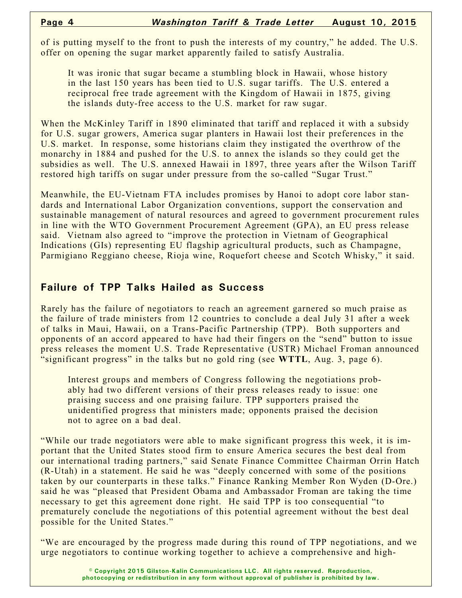of is putting myself to the front to push the interests of my country," he added. The U.S. offer on opening the sugar market apparently failed to satisfy Australia.

It was ironic that sugar became a stumbling block in Hawaii, whose history in the last 150 years has been tied to U.S. sugar tariffs. The U.S. entered a reciprocal free trade agreement with the Kingdom of Hawaii in 1875, giving the islands duty-free access to the U.S. market for raw sugar.

When the McKinley Tariff in 1890 eliminated that tariff and replaced it with a subsidy for U.S. sugar growers, America sugar planters in Hawaii lost their preferences in the U.S. market. In response, some historians claim they instigated the overthrow of the monarchy in 1884 and pushed for the U.S. to annex the islands so they could get the subsidies as well. The U.S. annexed Hawaii in 1897, three years after the Wilson Tariff restored high tariffs on sugar under pressure from the so-called "Sugar Trust."

Meanwhile, the EU-Vietnam FTA includes promises by Hanoi to adopt core labor standards and International Labor Organization conventions, support the conservation and sustainable management of natural resources and agreed to government procurement rules in line with the WTO Government Procurement Agreement (GPA), an EU press release said. Vietnam also agreed to "improve the protection in Vietnam of Geographical Indications (GIs) representing EU flagship agricultural products, such as Champagne, Parmigiano Reggiano cheese, Rioja wine, Roquefort cheese and Scotch Whisky," it said.

### **Failure of TPP Talks Hailed as Success**

Rarely has the failure of negotiators to reach an agreement garnered so much praise as the failure of trade ministers from 12 countries to conclude a deal July 31 after a week of talks in Maui, Hawaii, on a Trans-Pacific Partnership (TPP). Both supporters and opponents of an accord appeared to have had their fingers on the "send" button to issue press releases the moment U.S. Trade Representative (USTR) Michael Froman announced "significant progress" in the talks but no gold ring (see **WTTL**, Aug. 3, page 6).

Interest groups and members of Congress following the negotiations probably had two different versions of their press releases ready to issue: one praising success and one praising failure. TPP supporters praised the unidentified progress that ministers made; opponents praised the decision not to agree on a bad deal.

"While our trade negotiators were able to make significant progress this week, it is important that the United States stood firm to ensure America secures the best deal from our international trading partners," said Senate Finance Committee Chairman Orrin Hatch (R-Utah) in a statement. He said he was "deeply concerned with some of the positions taken by our counterparts in these talks." Finance Ranking Member Ron Wyden (D-Ore.) said he was "pleased that President Obama and Ambassador Froman are taking the time necessary to get this agreement done right. He said TPP is too consequential "to prematurely conclude the negotiations of this potential agreement without the best deal possible for the United States."

"We are encouraged by the progress made during this round of TPP negotiations, and we urge negotiators to continue working together to achieve a comprehensive and high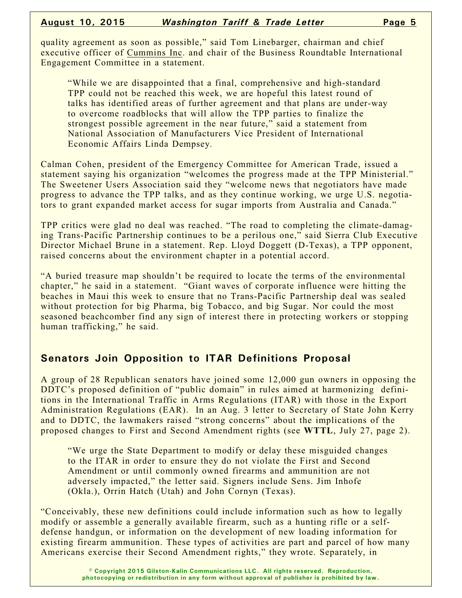quality agreement as soon as possible," said Tom Linebarger, chairman and chief executive officer of Cummins Inc. and chair of the Business Roundtable International Engagement Committee in a statement.

"While we are disappointed that a final, comprehensive and high-standard TPP could not be reached this week, we are hopeful this latest round of talks has identified areas of further agreement and that plans are under-way to overcome roadblocks that will allow the TPP parties to finalize the strongest possible agreement in the near future," said a statement from National Association of Manufacturers Vice President of International Economic Affairs Linda Dempsey.

Calman Cohen, president of the Emergency Committee for American Trade, issued a statement saying his organization "welcomes the progress made at the TPP Ministerial." The Sweetener Users Association said they "welcome news that negotiators have made progress to advance the TPP talks, and as they continue working, we urge U.S. negotiators to grant expanded market access for sugar imports from Australia and Canada."

TPP critics were glad no deal was reached. "The road to completing the climate-damaging Trans-Pacific Partnership continues to be a perilous one," said Sierra Club Executive Director Michael Brune in a statement. Rep. Lloyd Doggett (D-Texas), a TPP opponent, raised concerns about the environment chapter in a potential accord.

"A buried treasure map shouldn't be required to locate the terms of the environmental chapter," he said in a statement. "Giant waves of corporate influence were hitting the beaches in Maui this week to ensure that no Trans-Pacific Partnership deal was sealed without protection for big Pharma, big Tobacco, and big Sugar. Nor could the most seasoned beachcomber find any sign of interest there in protecting workers or stopping human trafficking," he said.

# **Senators Join Opposition to ITAR Definitions Proposal**

A group of 28 Republican senators have joined some 12,000 gun owners in opposing the DDTC's proposed definition of "public domain" in rules aimed at harmonizing definitions in the International Traffic in Arms Regulations (ITAR) with those in the Export Administration Regulations (EAR). In an Aug. 3 letter to Secretary of State John Kerry and to DDTC, the lawmakers raised "strong concerns" about the implications of the proposed changes to First and Second Amendment rights (see **WTTL**, July 27, page 2).

"We urge the State Department to modify or delay these misguided changes to the ITAR in order to ensure they do not violate the First and Second Amendment or until commonly owned firearms and ammunition are not adversely impacted," the letter said. Signers include Sens. Jim Inhofe (Okla.), Orrin Hatch (Utah) and John Cornyn (Texas).

"Conceivably, these new definitions could include information such as how to legally modify or assemble a generally available firearm, such as a hunting rifle or a selfdefense handgun, or information on the development of new loading information for existing firearm ammunition. These types of activities are part and parcel of how many Americans exercise their Second Amendment rights," they wrote. Separately, in

> **© Copyright 2015 Gilston-Kalin Communications LLC. All rights reserved. Reproduction, photocopying or redistribution in any form without approval of publisher is prohibited by law.**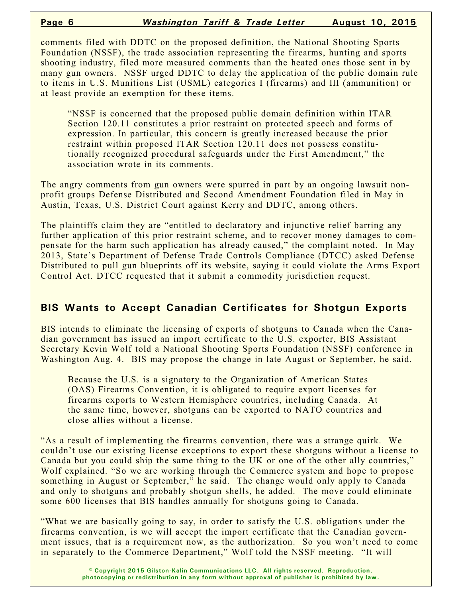comments filed with DDTC on the proposed definition, the National Shooting Sports Foundation (NSSF), the trade association representing the firearms, hunting and sports shooting industry, filed more measured comments than the heated ones those sent in by many gun owners. NSSF urged DDTC to delay the application of the public domain rule to items in U.S. Munitions List (USML) categories I (firearms) and III (ammunition) or at least provide an exemption for these items.

"NSSF is concerned that the proposed public domain definition within ITAR Section 120.11 constitutes a prior restraint on protected speech and forms of expression. In particular, this concern is greatly increased because the prior restraint within proposed ITAR Section 120.11 does not possess constitutionally recognized procedural safeguards under the First Amendment," the association wrote in its comments.

The angry comments from gun owners were spurred in part by an ongoing lawsuit nonprofit groups Defense Distributed and Second Amendment Foundation filed in May in Austin, Texas, U.S. District Court against Kerry and DDTC, among others.

The plaintiffs claim they are "entitled to declaratory and injunctive relief barring any further application of this prior restraint scheme, and to recover money damages to compensate for the harm such application has already caused," the complaint noted. In May 2013, State's Department of Defense Trade Controls Compliance (DTCC) asked Defense Distributed to pull gun blueprints off its website, saying it could violate the Arms Export Control Act. DTCC requested that it submit a commodity jurisdiction request.

### **BIS Wants to Accept Canadian Certificates for Shotgun Exports**

BIS intends to eliminate the licensing of exports of shotguns to Canada when the Canadian government has issued an import certificate to the U.S. exporter, BIS Assistant Secretary Kevin Wolf told a National Shooting Sports Foundation (NSSF) conference in Washington Aug. 4. BIS may propose the change in late August or September, he said.

Because the U.S. is a signatory to the Organization of American States (OAS) Firearms Convention, it is obligated to require export licenses for firearms exports to Western Hemisphere countries, including Canada. At the same time, however, shotguns can be exported to NATO countries and close allies without a license.

"As a result of implementing the firearms convention, there was a strange quirk. We couldn't use our existing license exceptions to export these shotguns without a license to Canada but you could ship the same thing to the UK or one of the other ally countries," Wolf explained. "So we are working through the Commerce system and hope to propose something in August or September," he said. The change would only apply to Canada and only to shotguns and probably shotgun shells, he added. The move could eliminate some 600 licenses that BIS handles annually for shotguns going to Canada.

"What we are basically going to say, in order to satisfy the U.S. obligations under the firearms convention, is we will accept the import certificate that the Canadian government issues, that is a requirement now, as the authorization. So you won't need to come in separately to the Commerce Department," Wolf told the NSSF meeting. "It will